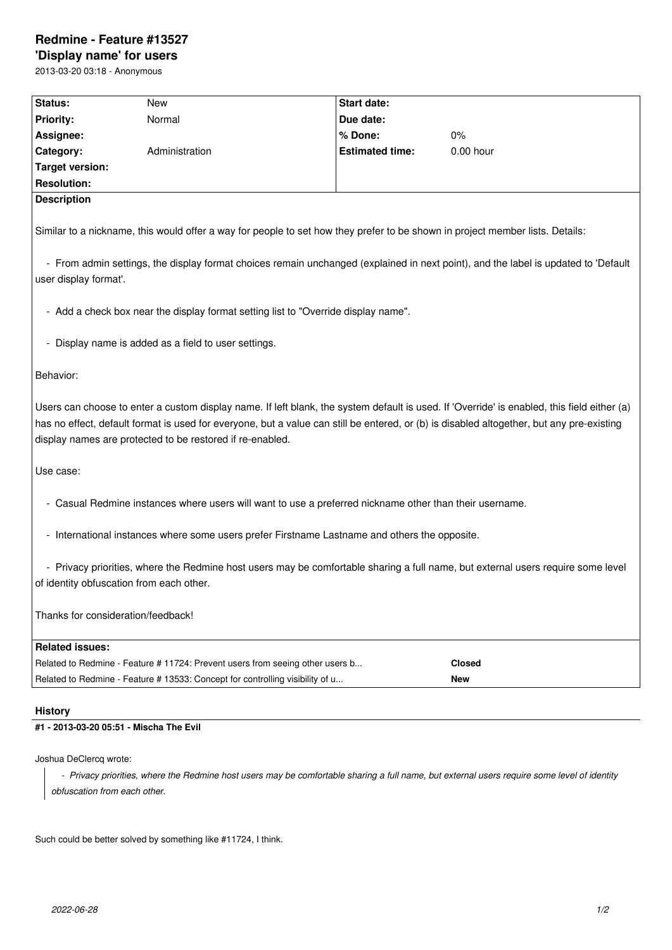## **Redmine - Feature #13527**

**'Display name' for users** 2013-03-20 03:18 - Anonymous

| Status:                                                                                                                                                                                                                                                                                                                                               | New                                                                           | Start date:            |               |
|-------------------------------------------------------------------------------------------------------------------------------------------------------------------------------------------------------------------------------------------------------------------------------------------------------------------------------------------------------|-------------------------------------------------------------------------------|------------------------|---------------|
| <b>Priority:</b>                                                                                                                                                                                                                                                                                                                                      | Normal                                                                        | Due date:              |               |
| Assignee:                                                                                                                                                                                                                                                                                                                                             |                                                                               | % Done:                | 0%            |
| Category:                                                                                                                                                                                                                                                                                                                                             | Administration                                                                | <b>Estimated time:</b> | 0.00 hour     |
| <b>Target version:</b>                                                                                                                                                                                                                                                                                                                                |                                                                               |                        |               |
| <b>Resolution:</b>                                                                                                                                                                                                                                                                                                                                    |                                                                               |                        |               |
| <b>Description</b>                                                                                                                                                                                                                                                                                                                                    |                                                                               |                        |               |
| Similar to a nickname, this would offer a way for people to set how they prefer to be shown in project member lists. Details:                                                                                                                                                                                                                         |                                                                               |                        |               |
| - From admin settings, the display format choices remain unchanged (explained in next point), and the label is updated to 'Default                                                                                                                                                                                                                    |                                                                               |                        |               |
| user display format'.                                                                                                                                                                                                                                                                                                                                 |                                                                               |                        |               |
| - Add a check box near the display format setting list to "Override display name".                                                                                                                                                                                                                                                                    |                                                                               |                        |               |
| - Display name is added as a field to user settings.                                                                                                                                                                                                                                                                                                  |                                                                               |                        |               |
|                                                                                                                                                                                                                                                                                                                                                       |                                                                               |                        |               |
| Behavior:                                                                                                                                                                                                                                                                                                                                             |                                                                               |                        |               |
| Users can choose to enter a custom display name. If left blank, the system default is used. If 'Override' is enabled, this field either (a)<br>has no effect, default format is used for everyone, but a value can still be entered, or (b) is disabled altogether, but any pre-existing<br>display names are protected to be restored if re-enabled. |                                                                               |                        |               |
| Use case:                                                                                                                                                                                                                                                                                                                                             |                                                                               |                        |               |
| - Casual Redmine instances where users will want to use a preferred nickname other than their username.                                                                                                                                                                                                                                               |                                                                               |                        |               |
| - International instances where some users prefer Firstname Lastname and others the opposite.                                                                                                                                                                                                                                                         |                                                                               |                        |               |
|                                                                                                                                                                                                                                                                                                                                                       |                                                                               |                        |               |
| - Privacy priorities, where the Redmine host users may be comfortable sharing a full name, but external users require some level<br>of identity obfuscation from each other.                                                                                                                                                                          |                                                                               |                        |               |
| Thanks for consideration/feedback!                                                                                                                                                                                                                                                                                                                    |                                                                               |                        |               |
| <b>Related issues:</b>                                                                                                                                                                                                                                                                                                                                |                                                                               |                        |               |
|                                                                                                                                                                                                                                                                                                                                                       | Related to Redmine - Feature #11724: Prevent users from seeing other users b  |                        | <b>Closed</b> |
|                                                                                                                                                                                                                                                                                                                                                       | Related to Redmine - Feature # 13533: Concept for controlling visibility of u |                        | <b>New</b>    |
| <b>History</b>                                                                                                                                                                                                                                                                                                                                        |                                                                               |                        |               |

**#1 - 2013-03-20 05:51 - Mischa The Evil**

Joshua DeClercq wrote:

 *- Privacy priorities, where the Redmine host users may be comfortable sharing a full name, but external users require some level of identity obfuscation from each other.*

Such could be better solved by something like #11724, I think.